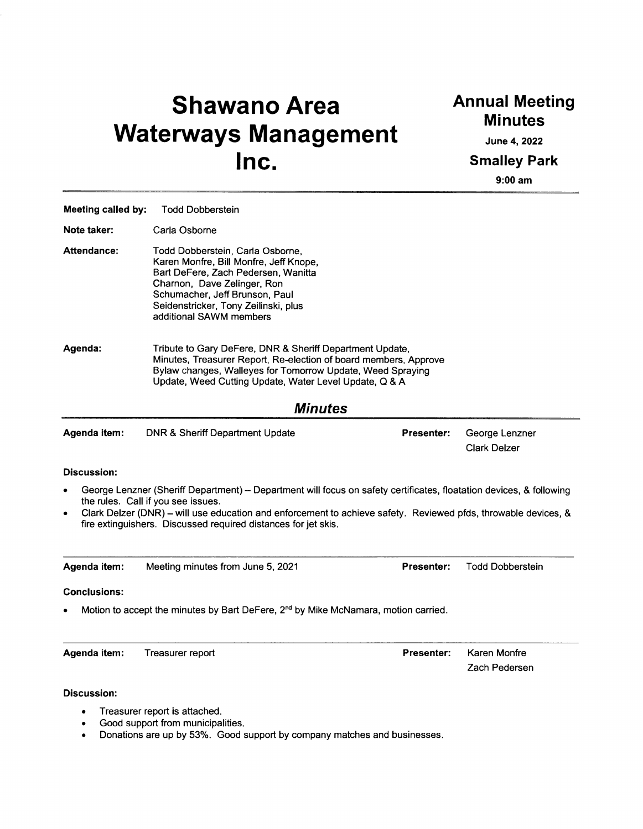# **Shawano Area Waterways Management Inc.**

## **Annual Meeting Minutes**

**June 4, 2022** Smalley Park

**9:00 am**

Zach Pedersen

| Meeting called by:  | <b>Todd Dobberstein</b>                                                                                                                                                                                                                                                                                                                       |                   |                                       |  |
|---------------------|-----------------------------------------------------------------------------------------------------------------------------------------------------------------------------------------------------------------------------------------------------------------------------------------------------------------------------------------------|-------------------|---------------------------------------|--|
| Note taker:         | Carla Osborne                                                                                                                                                                                                                                                                                                                                 |                   |                                       |  |
| Attendance:         | Todd Dobberstein, Carla Osborne,<br>Karen Monfre, Bill Monfre, Jeff Knope,<br>Bart DeFere, Zach Pedersen, Wanitta<br>Charnon, Dave Zelinger, Ron<br>Schumacher, Jeff Brunson, Paul<br>Seidenstricker, Tony Zeilinski, plus<br>additional SAWM members                                                                                         |                   |                                       |  |
| Agenda:             | Tribute to Gary DeFere, DNR & Sheriff Department Update,<br>Minutes, Treasurer Report, Re-election of board members, Approve<br>Bylaw changes, Walleyes for Tomorrow Update, Weed Spraying<br>Update, Weed Cutting Update, Water Level Update, Q & A                                                                                          |                   |                                       |  |
|                     | <b>Minutes</b>                                                                                                                                                                                                                                                                                                                                |                   |                                       |  |
| Agenda item:        | <b>DNR &amp; Sheriff Department Update</b>                                                                                                                                                                                                                                                                                                    | <b>Presenter:</b> | George Lenzner<br><b>Clark Delzer</b> |  |
| <b>Discussion:</b>  |                                                                                                                                                                                                                                                                                                                                               |                   |                                       |  |
| $\bullet$           | George Lenzner (Sheriff Department) - Department will focus on safety certificates, floatation devices, & following<br>the rules. Call if you see issues.<br>Clark Delzer (DNR) - will use education and enforcement to achieve safety. Reviewed pfds, throwable devices, &<br>fire extinguishers. Discussed required distances for jet skis. |                   |                                       |  |
| Agenda item:        | Meeting minutes from June 5, 2021                                                                                                                                                                                                                                                                                                             | <b>Presenter:</b> | <b>Todd Dobberstein</b>               |  |
| <b>Conclusions:</b> |                                                                                                                                                                                                                                                                                                                                               |                   |                                       |  |
|                     | Motion to accept the minutes by Bart DeFere, 2 <sup>nd</sup> by Mike McNamara, motion carried.                                                                                                                                                                                                                                                |                   |                                       |  |
| Agenda item:        | Treasurer report                                                                                                                                                                                                                                                                                                                              | Presenter:        | Karen Monfre                          |  |

**Discussion:**

- Treasurer report is attached.
- Good support from municipalities.
- Donations are up by 53%. Good support by company matches and businesses.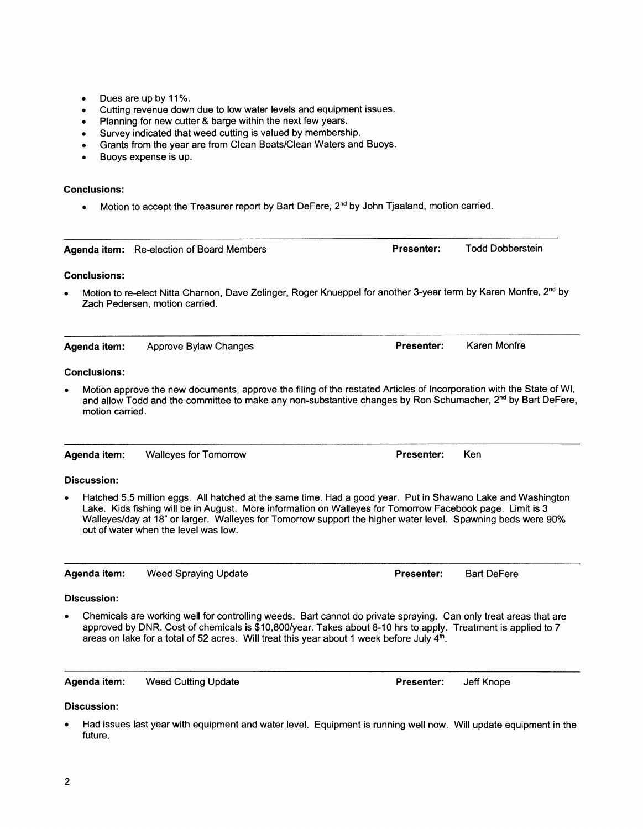- Dues are up by 11%.
- Cutting revenue down due to low water levels and equipment issues.
- Planning for new cutter & barge within the next few years.
- Survey indicated that weed cutting is valued by membership.
- Grants from the year are from Clean Boats/Clean Waters and Buoys.
- Buoys expense is up.

### **Conclusions:**

• Motion to accept the Treasurer report by Bart DeFere, 2<sup>nd</sup> by John Tjaaland, motion carried.

|                     | Agenda item: Re-election of Board Members                                                                                                                                                                                                                                                                                                                                       | Presenter:        | <b>Todd Dobberstein</b> |
|---------------------|---------------------------------------------------------------------------------------------------------------------------------------------------------------------------------------------------------------------------------------------------------------------------------------------------------------------------------------------------------------------------------|-------------------|-------------------------|
| <b>Conclusions:</b> |                                                                                                                                                                                                                                                                                                                                                                                 |                   |                         |
|                     | Motion to re-elect Nitta Charnon, Dave Zelinger, Roger Knueppel for another 3-year term by Karen Monfre, 2 <sup>nd</sup> by<br>Zach Pedersen, motion carried.                                                                                                                                                                                                                   |                   |                         |
| Agenda item:        | Approve Bylaw Changes                                                                                                                                                                                                                                                                                                                                                           | Presenter:        | Karen Monfre            |
| <b>Conclusions:</b> |                                                                                                                                                                                                                                                                                                                                                                                 |                   |                         |
| motion carried.     | Motion approve the new documents, approve the filing of the restated Articles of Incorporation with the State of WI,<br>and allow Todd and the committee to make any non-substantive changes by Ron Schumacher, 2 <sup>nd</sup> by Bart DeFere,                                                                                                                                 |                   |                         |
| Agenda item:        | <b>Walleyes for Tomorrow</b>                                                                                                                                                                                                                                                                                                                                                    | Presenter:        | Ken                     |
| <b>Discussion:</b>  |                                                                                                                                                                                                                                                                                                                                                                                 |                   |                         |
|                     | Hatched 5.5 million eggs. All hatched at the same time. Had a good year. Put in Shawano Lake and Washington<br>Lake. Kids fishing will be in August. More information on Walleyes for Tomorrow Facebook page. Limit is 3<br>Walleyes/day at 18" or larger. Walleyes for Tomorrow support the higher water level. Spawning beds were 90%<br>out of water when the level was low. |                   |                         |
| Agenda item:        | <b>Weed Spraying Update</b>                                                                                                                                                                                                                                                                                                                                                     | <b>Presenter:</b> | <b>Bart DeFere</b>      |
| <b>Discussion:</b>  |                                                                                                                                                                                                                                                                                                                                                                                 |                   |                         |
|                     | Chemicals are working well for controlling weeds. Bart cannot do private spraying. Can only treat areas that are<br>approved by DNR. Cost of chemicals is \$10,800/year. Takes about 8-10 hrs to apply. Treatment is applied to 7<br>areas on lake for a total of 52 acres. Will treat this year about 1 week before July 4th.                                                  |                   |                         |
| Agenda item:        | <b>Weed Cutting Update</b>                                                                                                                                                                                                                                                                                                                                                      | Presenter:        | Jeff Knope              |
| <b>Discussion:</b>  |                                                                                                                                                                                                                                                                                                                                                                                 |                   |                         |

• Had issues last year with equipment and water level. Equipment is running well now. Will update equipment in the future.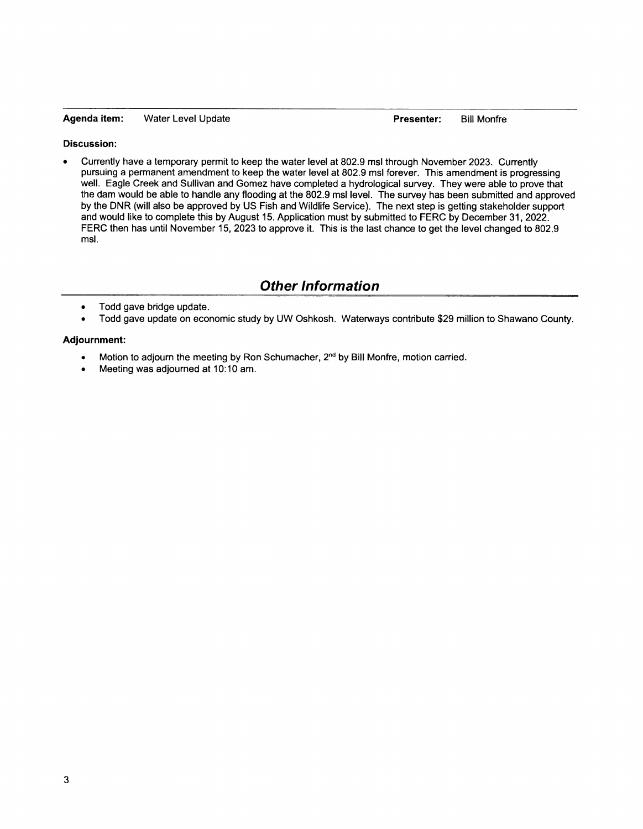#### **Agenda item:** Water Level Update **Presenter:** Bill Monfre

#### **Discussion:**

• Currently have a temporary permit to keep the water level at 802.9 msl through November 2023. Currently pursuing a permanent amendment to keep the water level at 802.9 msl forever. This amendment is progressing well. Eagle Creek and Sullivan and Gomez have completed a hydrological survey. They were able to prove that the dam would be able to handle any flooding at the 802.9 msl level. The survey has been submitted and approved by the DNR (will also be approved by US Fish and Wildlife Service). The next step is getting stakeholder support and would like to complete this by August 15. Application must by submitted to FERC by December 31, 2022. FERC then has until November 15, 2023 to approve it. This is the last chance to get the level changed to 802.9 msl.

## *Other Information*

- Todd gave bridge update.
- Todd gave update on economic study by UW Oshkosh. Waterways contribute \$29 million to Shawano County.

#### **Adjournment:**

- Motion to adjourn the meeting by Ron Schumacher,  $2<sup>nd</sup>$  by Bill Monfre, motion carried.
- Meeting was adjourned at 10:10 am.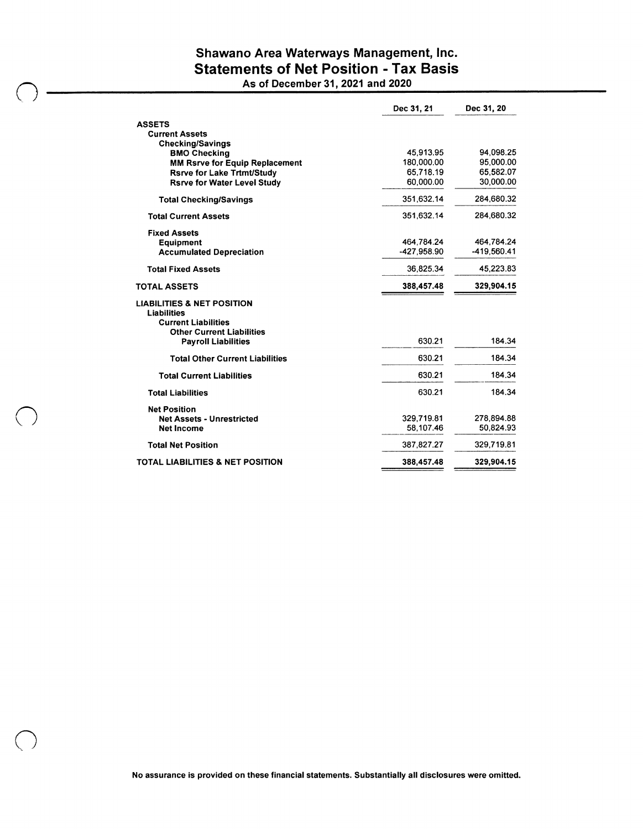## Shawano Area Waterways Management, Inc. Statements of Net Position - Tax Basis

As of December 31, 2021 and 2020

|                                                                     | Dec 31, 21              | Dec 31, 20             |
|---------------------------------------------------------------------|-------------------------|------------------------|
| <b>ASSETS</b>                                                       |                         |                        |
| <b>Current Assets</b>                                               |                         |                        |
| <b>Checking/Savings</b>                                             |                         |                        |
| <b>BMO Checking</b>                                                 | 45.913.95<br>180,000.00 | 94,098.25<br>95,000.00 |
| MM Rsrve for Equip Replacement<br><b>Rsrve for Lake Trtmt/Study</b> | 65.718.19               | 65.582.07              |
| <b>Rsrve for Water Level Study</b>                                  | 60,000.00               | 30.000.00              |
|                                                                     |                         |                        |
| <b>Total Checking/Savings</b>                                       | 351.632.14              | 284,680.32             |
| <b>Total Current Assets</b>                                         | 351,632.14              | 284,680.32             |
| <b>Fixed Assets</b>                                                 |                         |                        |
| <b>Equipment</b>                                                    | 464.784.24              | 464.784.24             |
| <b>Accumulated Depreciation</b>                                     | -427.958.90             | -419.560.41            |
| <b>Total Fixed Assets</b>                                           | 36.825.34               | 45,223.83              |
| <b>TOTAL ASSETS</b>                                                 | 388,457.48              | 329,904.15             |
| <b>LIABILITIES &amp; NET POSITION</b><br><b>Liabilities</b>         |                         |                        |
| <b>Current Liabilities</b>                                          |                         |                        |
| <b>Other Current Liabilities</b>                                    |                         |                        |
| <b>Payroll Liabilities</b>                                          | 630.21                  | 184.34                 |
| <b>Total Other Current Liabilities</b>                              | 630.21                  | 184.34                 |
| <b>Total Current Liabilities</b>                                    | 630.21                  | 184,34                 |
| <b>Total Liabilities</b>                                            | 630.21                  | 184.34                 |
| <b>Net Position</b>                                                 |                         |                        |
| <b>Net Assets - Unrestricted</b>                                    | 329,719.81              | 278.894.88             |
| <b>Net Income</b>                                                   | 58.107.46               | 50.824.93              |
| <b>Total Net Position</b>                                           | 387,827.27              | 329,719.81             |
| <b>TOTAL LIABILITIES &amp; NET POSITION</b>                         | 388,457.48              | 329,904.15             |